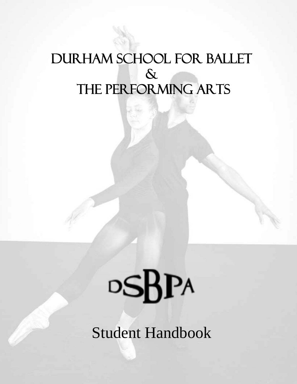# DURHAM SCHOOL FOR BALLET  $\delta$ THE PERFORMING ARTS

# $\circ$ SBPA

Student Handbook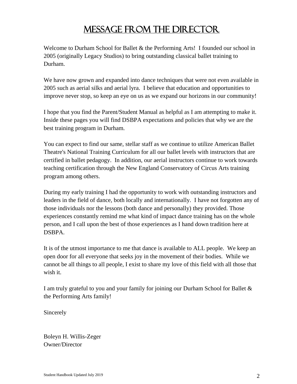# Message from the Director

Welcome to Durham School for Ballet & the Performing Arts! I founded our school in 2005 (originally Legacy Studios) to bring outstanding classical ballet training to Durham.

We have now grown and expanded into dance techniques that were not even available in 2005 such as aerial silks and aerial lyra. I believe that education and opportunities to improve never stop, so keep an eye on us as we expand our horizons in our community!

I hope that you find the Parent/Student Manual as helpful as I am attempting to make it. Inside these pages you will find DSBPA expectations and policies that why we are the best training program in Durham.

You can expect to find our same, stellar staff as we continue to utilize American Ballet Theatre's National Training Curriculum for all our ballet levels with instructors that are certified in ballet pedagogy. In addition, our aerial instructors continue to work towards teaching certification through the New England Conservatory of Circus Arts training program among others.

During my early training I had the opportunity to work with outstanding instructors and leaders in the field of dance, both locally and internationally. I have not forgotten any of those individuals nor the lessons (both dance and personally) they provided. Those experiences constantly remind me what kind of impact dance training has on the whole person, and I call upon the best of those experiences as I hand down tradition here at DSBPA.

It is of the utmost importance to me that dance is available to ALL people. We keep an open door for all everyone that seeks joy in the movement of their bodies. While we cannot be all things to all people, I exist to share my love of this field with all those that wish it.

I am truly grateful to you and your family for joining our Durham School for Ballet & the Performing Arts family!

Sincerely

Boleyn H. Willis-Zeger Owner/Director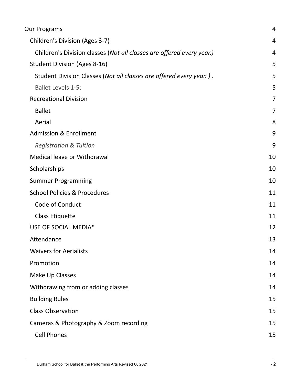| Children's Division (Ages 3-7)<br>Children's Division classes (Not all classes are offered every year.)<br><b>Student Division (Ages 8-16)</b><br>Student Division Classes (Not all classes are offered every year.).<br><b>Ballet Levels 1-5:</b><br><b>Recreational Division</b><br><b>Ballet</b><br>Aerial<br><b>Admission &amp; Enrollment</b><br><b>Registration &amp; Tuition</b><br>Medical leave or Withdrawal<br>Scholarships<br><b>Summer Programming</b><br><b>School Policies &amp; Procedures</b><br>Code of Conduct<br><b>Class Etiquette</b><br>USE OF SOCIAL MEDIA* | 4<br>4<br>5<br>5<br>5<br>$\overline{7}$<br>$\overline{7}$<br>8<br>9 |
|-------------------------------------------------------------------------------------------------------------------------------------------------------------------------------------------------------------------------------------------------------------------------------------------------------------------------------------------------------------------------------------------------------------------------------------------------------------------------------------------------------------------------------------------------------------------------------------|---------------------------------------------------------------------|
|                                                                                                                                                                                                                                                                                                                                                                                                                                                                                                                                                                                     |                                                                     |
|                                                                                                                                                                                                                                                                                                                                                                                                                                                                                                                                                                                     |                                                                     |
|                                                                                                                                                                                                                                                                                                                                                                                                                                                                                                                                                                                     |                                                                     |
|                                                                                                                                                                                                                                                                                                                                                                                                                                                                                                                                                                                     |                                                                     |
|                                                                                                                                                                                                                                                                                                                                                                                                                                                                                                                                                                                     |                                                                     |
|                                                                                                                                                                                                                                                                                                                                                                                                                                                                                                                                                                                     |                                                                     |
|                                                                                                                                                                                                                                                                                                                                                                                                                                                                                                                                                                                     |                                                                     |
|                                                                                                                                                                                                                                                                                                                                                                                                                                                                                                                                                                                     |                                                                     |
|                                                                                                                                                                                                                                                                                                                                                                                                                                                                                                                                                                                     |                                                                     |
|                                                                                                                                                                                                                                                                                                                                                                                                                                                                                                                                                                                     | 9                                                                   |
|                                                                                                                                                                                                                                                                                                                                                                                                                                                                                                                                                                                     | 10                                                                  |
|                                                                                                                                                                                                                                                                                                                                                                                                                                                                                                                                                                                     | 10                                                                  |
|                                                                                                                                                                                                                                                                                                                                                                                                                                                                                                                                                                                     | 10                                                                  |
|                                                                                                                                                                                                                                                                                                                                                                                                                                                                                                                                                                                     | 11                                                                  |
|                                                                                                                                                                                                                                                                                                                                                                                                                                                                                                                                                                                     | 11                                                                  |
|                                                                                                                                                                                                                                                                                                                                                                                                                                                                                                                                                                                     | 11                                                                  |
|                                                                                                                                                                                                                                                                                                                                                                                                                                                                                                                                                                                     | 12                                                                  |
| Attendance                                                                                                                                                                                                                                                                                                                                                                                                                                                                                                                                                                          | 13                                                                  |
| <b>Waivers for Aerialists</b>                                                                                                                                                                                                                                                                                                                                                                                                                                                                                                                                                       | 14                                                                  |
| Promotion                                                                                                                                                                                                                                                                                                                                                                                                                                                                                                                                                                           | 14                                                                  |
| Make Up Classes                                                                                                                                                                                                                                                                                                                                                                                                                                                                                                                                                                     | 14                                                                  |
| Withdrawing from or adding classes                                                                                                                                                                                                                                                                                                                                                                                                                                                                                                                                                  | 14                                                                  |
| <b>Building Rules</b>                                                                                                                                                                                                                                                                                                                                                                                                                                                                                                                                                               | 15                                                                  |
| <b>Class Observation</b>                                                                                                                                                                                                                                                                                                                                                                                                                                                                                                                                                            | 15                                                                  |
| Cameras & Photography & Zoom recording                                                                                                                                                                                                                                                                                                                                                                                                                                                                                                                                              | 15                                                                  |
| <b>Cell Phones</b>                                                                                                                                                                                                                                                                                                                                                                                                                                                                                                                                                                  | 15                                                                  |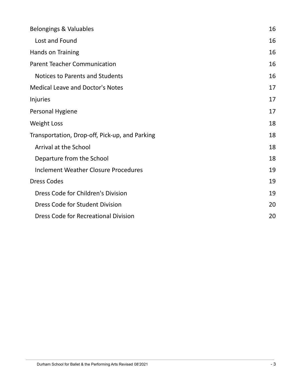| Belongings & Valuables                         | 16 |
|------------------------------------------------|----|
| Lost and Found                                 | 16 |
| Hands on Training                              | 16 |
| <b>Parent Teacher Communication</b>            | 16 |
| Notices to Parents and Students                | 16 |
| <b>Medical Leave and Doctor's Notes</b>        | 17 |
| Injuries                                       | 17 |
| Personal Hygiene                               | 17 |
| <b>Weight Loss</b>                             | 18 |
| Transportation, Drop-off, Pick-up, and Parking | 18 |
| Arrival at the School                          | 18 |
| Departure from the School                      | 18 |
| <b>Inclement Weather Closure Procedures</b>    | 19 |
| <b>Dress Codes</b>                             | 19 |
| Dress Code for Children's Division             | 19 |
| Dress Code for Student Division                | 20 |
| <b>Dress Code for Recreational Division</b>    | 20 |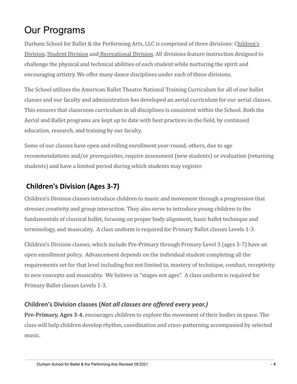# <span id="page-4-0"></span>Our Programs

Durham School for Ballet & the Performing Arts, LLC is comprised of three divisions: Children's Division, Student Division and Recreational Division. All divisions feature instruction designed to challenge the physical and technical abilities of each student while nurturing the spirit and encouraging artistry. We offer many dance disciplines under each of those divisions.

The School utilizes the American Ballet Theatre National Training Curriculum for all of our ballet classes and our faculty and administration has developed an aerial curriculum for our aerial classes. This ensures that classroom curriculum in all disciplines is consistent within the School. Both the Aerial and Ballet programs are kept up to date with best practices in the field, by continued education, research, and training by our faculty.

Some of our classes have open and rolling enrollment year-round; others, due to age recommendations and/or prerequisites, require assessment (new students) or evaluation (returning students) and have a limited period during which students may register.

# <span id="page-4-1"></span>**Children's Division (Ages 3-7)**

Children's Division classes introduce children to music and movement through a progression that stresses creativity and group interaction. They also serve to introduce young children to the fundamentals of classical ballet, focusing on proper body alignment, basic ballet technique and terminology, and musicality. A class uniform is required for Primary Ballet classes Levels 1-3.

Children's Division classes, which include Pre-Primary through Primary Level 3 (ages 3-7) have an open enrollment policy. Advancement depends on the individual student completing all the requirements set for that level including but not limited to, mastery of technique, conduct, receptivity to new concepts and musicality. We believe in "stages not ages". A class uniform is required for Primary Ballet classes Levels 1-3.

# <span id="page-4-2"></span>**Children's Division classes (***Not all classes are offered every year.)*

**Pre-Primary, Ages 3-4**, encourages children to explore the movement of their bodies in space. The class will help children develop rhythm, coordination and cross-patterning accompanied by selected music.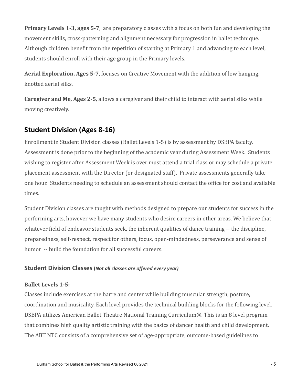**Primary Levels 1-3, ages 5-7**, are preparatory classes with a focus on both fun and developing the movement skills, cross-patterning and alignment necessary for progression in ballet technique. Although children benefit from the repetition of starting at Primary 1 and advancing to each level, students should enroll with their age group in the Primary levels.

**Aerial Exploration, Ages 5-7**, focuses on Creative Movement with the addition of low hanging, knotted aerial silks.

**Caregiver and Me, Ages 2-5**, allows a caregiver and their child to interact with aerial silks while moving creatively.

# <span id="page-5-0"></span>**Student Division (Ages 8-16)**

Enrollment in Student Division classes (Ballet Levels 1-5) is by assessment by DSBPA faculty. Assessment is done prior to the beginning of the academic year during Assessment Week. Students wishing to register after Assessment Week is over must attend a trial class or may schedule a private placement assessment with the Director (or designated staff). Private assessments generally take one hour. Students needing to schedule an assessment should contact the office for cost and available times.

Student Division classes are taught with methods designed to prepare our students for success in the performing arts, however we have many students who desire careers in other areas. We believe that whatever field of endeavor students seek, the inherent qualities of dance training -- the discipline, preparedness, self-respect, respect for others, focus, open-mindedness, perseverance and sense of humor -- build the foundation for all successful careers.

#### <span id="page-5-1"></span>**Student Division Classes (***Not all classes are offered every year)*

#### <span id="page-5-2"></span>**Ballet Levels 1-5:**

Classes include exercises at the barre and center while building muscular strength, posture, coordination and musicality. Each level provides the technical building blocks for the following level. DSBPA utilizes American Ballet Theatre National Training Curriculum®. This is an 8 level program that combines high quality artistic training with the basics of dancer health and child development. The ABT NTC consists of a comprehensive set of age-appropriate, outcome-based guidelines to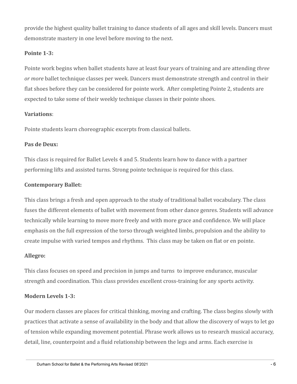provide the highest quality ballet training to dance students of all ages and skill levels. Dancers must demonstrate mastery in one level before moving to the next.

#### **Pointe 1-3:**

Pointe work begins when ballet students have at least four years of training and are attending *three or more* ballet technique classes per week. Dancers must demonstrate strength and control in their flat shoes before they can be considered for pointe work. After completing Pointe 2, students are expected to take some of their weekly technique classes in their pointe shoes.

#### **Variations**:

Pointe students learn choreographic excerpts from classical ballets.

#### **Pas de Deux:**

This class is required for Ballet Levels 4 and 5. Students learn how to dance with a partner performing lifts and assisted turns. Strong pointe technique is required for this class.

#### **Contemporary Ballet:**

This class brings a fresh and open approach to the study of traditional ballet vocabulary. The class fuses the different elements of ballet with movement from other dance genres. Students will advance technically while learning to move more freely and with more grace and confidence. We will place emphasis on the full expression of the torso through weighted limbs, propulsion and the ability to create impulse with varied tempos and rhythms. This class may be taken on flat or en pointe.

#### **Allegro:**

This class focuses on speed and precision in jumps and turns to improve endurance, muscular strength and coordination. This class provides excellent cross-training for any sports activity.

#### **Modern Levels 1-3:**

Our modern classes are places for critical thinking, moving and crafting. The class begins slowly with practices that activate a sense of availability in the body and that allow the discovery of ways to let go of tension while expanding movement potential. Phrase work allows us to research musical accuracy, detail, line, counterpoint and a fluid relationship between the legs and arms. Each exercise is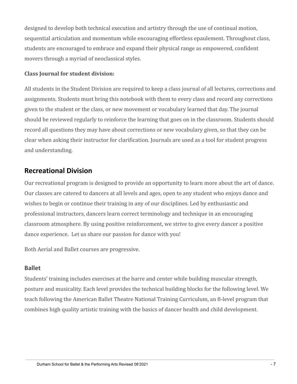designed to develop both technical execution and artistry through the use of continual motion, sequential articulation and momentum while encouraging effortless epaulement. Throughout class, students are encouraged to embrace and expand their physical range as empowered, confident movers through a myriad of neoclassical styles.

#### **Class Journal for student division:**

All students in the Student Division are required to keep a class journal of all lectures, corrections and assignments. Students must bring this notebook with them to every class and record any corrections given to the student or the class, or new movement or vocabulary learned that day. The journal should be reviewed regularly to reinforce the learning that goes on in the classroom. Students should record all questions they may have about corrections or new vocabulary given, so that they can be clear when asking their instructor for clarification. Journals are used as a tool for student progress and understanding.

# <span id="page-7-0"></span>**Recreational Division**

Our recreational program is designed to provide an opportunity to learn more about the art of dance. Our classes are catered to dancers at all levels and ages, open to any student who enjoys dance and wishes to begin or continue their training in any of our disciplines. Led by enthusiastic and professional instructors, dancers learn correct terminology and technique in an encouraging classroom atmosphere. By using positive reinforcement, we strive to give every dancer a positive dance experience. Let us share our passion for dance with you!

Both Aerial and Ballet courses are progressive.

#### <span id="page-7-1"></span>**Ballet**

Students' training includes exercises at the barre and center while building muscular strength, posture and musicality. Each level provides the technical building blocks for the following level. We teach following the American Ballet Theatre National Training Curriculum, an 8-level program that combines high quality artistic training with the basics of dancer health and child development.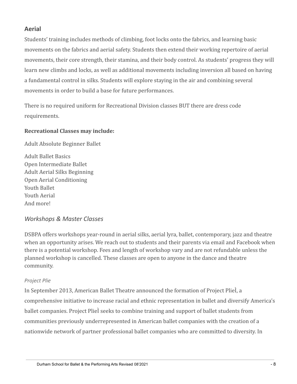#### <span id="page-8-0"></span>**Aerial**

Students' training includes methods of climbing, foot locks onto the fabrics, and learning basic movements on the fabrics and aerial safety. Students then extend their working repertoire of aerial movements, their core strength, their stamina, and their body control. As students' progress they will learn new climbs and locks, as well as additional movements including inversion all based on having a fundamental control in silks. Students will explore staying in the air and combining several movements in order to build a base for future performances.

There is no required uniform for Recreational Division classes BUT there are dress code requirements.

#### **Recreational Classes may include:**

Adult Absolute Beginner Ballet

Adult Ballet Basics Open Intermediate Ballet Adult Aerial Silks Beginning Open Aerial Conditioning Youth Ballet Youth Aerial And more!

#### *Workshops & Master Classes*

DSBPA offers workshops year-round in aerial silks, aerial lyra, ballet, contemporary, jazz and theatre when an opportunity arises. We reach out to students and their parents via email and Facebook when there is a potential workshop. Fees and length of workshop vary and are not refundable unless the planned workshop is cancelled. These classes are open to anyone in the dance and theatre community.

#### *Project Plie*

In September 2013, American Ballet Theatre announced the formation of Project PlieÌ, a comprehensive initiative to increase racial and ethnic representation in ballet and diversify America's ballet companies. Project PlieÌ seeks to combine training and support of ballet students from communities previously underrepresented in American ballet companies with the creation of a nationwide network of partner professional ballet companies who are committed to diversity. In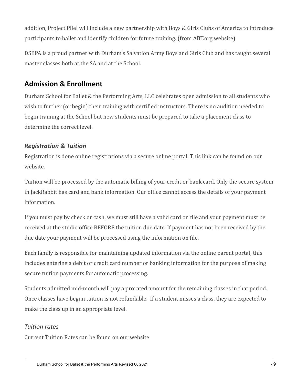addition, Project PlieÌ will include a new partnership with Boys & Girls Clubs of America to introduce participants to ballet and identify children for future training. (from ABT.org website)

DSBPA is a proud partner with Durham's Salvation Army Boys and Girls Club and has taught several master classes both at the SA and at the School.

# <span id="page-9-0"></span>**Admission & Enrollment**

Durham School for Ballet & the Performing Arts, LLC celebrates open admission to all students who wish to further (or begin) their training with certified instructors. There is no audition needed to begin training at the School but new students must be prepared to take a placement class to determine the correct level.

## <span id="page-9-1"></span>*Registration & Tuition*

Registration is done online registrations via a secure online portal. This link can be found on our website.

Tuition will be processed by the automatic billing of your credit or bank card. Only the secure system in JackRabbit has card and bank information. Our office cannot access the details of your payment information.

If you must pay by check or cash, we must still have a valid card on file and your payment must be received at the studio office BEFORE the tuition due date. If payment has not been received by the due date your payment will be processed using the information on file.

Each family is responsible for maintaining updated information via the online parent portal; this includes entering a debit or credit card number or banking information for the purpose of making secure tuition payments for automatic processing.

Students admitted mid-month will pay a prorated amount for the remaining classes in that period. Once classes have begun tuition is not refundable. If a student misses a class, they are expected to make the class up in an appropriate level.

## *Tuition rates*

Current Tuition Rates can be found on our website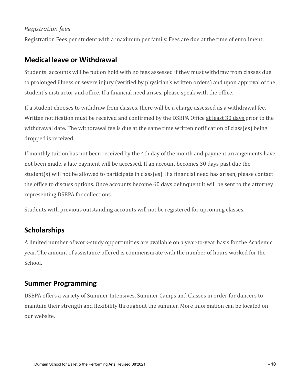#### *Registration fees*

Registration Fees per student with a maximum per family. Fees are due at the time of enrollment.

# <span id="page-10-0"></span>**Medical leave or Withdrawal**

Students' accounts will be put on hold with no fees assessed if they must withdraw from classes due to prolonged illness or severe injury (verified by physician's written orders) and upon approval of the student's instructor and office. If a financial need arises, please speak with the office.

If a student chooses to withdraw from classes, there will be a charge assessed as a withdrawal fee. Written notification must be received and confirmed by the DSBPA Office at least 30 days prior to the withdrawal date. The withdrawal fee is due at the same time written notification of class(es) being dropped is received.

If monthly tuition has not been received by the 4th day of the month and payment arrangements have not been made, a late payment will be accessed. If an account becomes 30 days past due the student(s) will not be allowed to participate in class(es). If a financial need has arisen, please contact the office to discuss options. Once accounts become 60 days delinquent it will be sent to the attorney representing DSBPA for collections.

Students with previous outstanding accounts will not be registered for upcoming classes.

# <span id="page-10-1"></span>**Scholarships**

A limited number of work-study opportunities are available on a year-to-year basis for the Academic year. The amount of assistance offered is commensurate with the number of hours worked for the School.

# <span id="page-10-2"></span>**Summer Programming**

DSBPA offers a variety of Summer Intensives, Summer Camps and Classes in order for dancers to maintain their strength and flexibility throughout the summer. More information can be located on our website.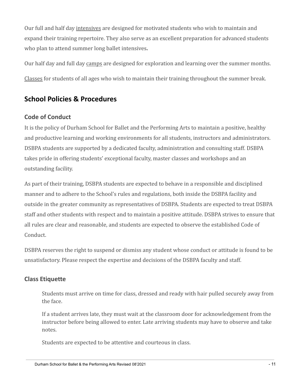Our full and half day intensives are designed for motivated students who wish to maintain and expand their training repertoire. They also serve as an excellent preparation for advanced students who plan to attend summer long ballet intensives**.**

Our half day and full day camps are designed for exploration and learning over the summer months.

Classes for students of all ages who wish to maintain their training throughout the summer break.

# <span id="page-11-0"></span>**School Policies & Procedures**

## <span id="page-11-1"></span>**Code of Conduct**

It is the policy of Durham School for Ballet and the Performing Arts to maintain a positive, healthy and productive learning and working environments for all students, instructors and administrators. DSBPA students are supported by a dedicated faculty, administration and consulting staff. DSBPA takes pride in offering students' exceptional faculty, master classes and workshops and an outstanding facility.

As part of their training, DSBPA students are expected to behave in a responsible and disciplined manner and to adhere to the School's rules and regulations, both inside the DSBPA facility and outside in the greater community as representatives of DSBPA. Students are expected to treat DSBPA staff and other students with respect and to maintain a positive attitude. DSBPA strives to ensure that all rules are clear and reasonable, and students are expected to observe the established Code of Conduct.

DSBPA reserves the right to suspend or dismiss any student whose conduct or attitude is found to be unsatisfactory. Please respect the expertise and decisions of the DSBPA faculty and staff.

# <span id="page-11-2"></span>**Class Etiquette**

Students must arrive on time for class, dressed and ready with hair pulled securely away from the face.

If a student arrives late, they must wait at the classroom door for acknowledgement from the instructor before being allowed to enter. Late arriving students may have to observe and take notes.

Students are expected to be attentive and courteous in class.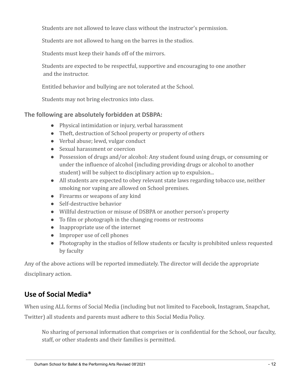Students are not allowed to leave class without the instructor's permission.

Students are not allowed to hang on the barres in the studios.

Students must keep their hands off of the mirrors.

Students are expected to be respectful, supportive and encouraging to one another and the instructor.

Entitled behavior and bullying are not tolerated at the School.

Students may not bring electronics into class.

#### **The following are absolutely forbidden at DSBPA:**

- Physical intimidation or injury, verbal harassment
- Theft, destruction of School property or property of others
- Verbal abuse; lewd, vulgar conduct
- Sexual harassment or coercion
- Possession of drugs and/or alcohol: Any student found using drugs, or consuming or under the influence of alcohol (including providing drugs or alcohol to another student) will be subject to disciplinary action up to expulsion...
- All students are expected to obey relevant state laws regarding tobacco use, neither smoking nor vaping are allowed on School premises.
- Firearms or weapons of any kind
- Self-destructive behavior
- Willful destruction or misuse of DSBPA or another person's property
- To film or photograph in the changing rooms or restrooms
- Inappropriate use of the internet
- Improper use of cell phones
- Photography in the studios of fellow students or faculty is prohibited unless requested by faculty

Any of the above actions will be reported immediately. The director will decide the appropriate disciplinary action.

# <span id="page-12-0"></span>**Use of Social Media\***

When using ALL forms of Social Media (including but not limited to Facebook, Instagram, Snapchat,

Twitter) all students and parents must adhere to this Social Media Policy.

No sharing of personal information that comprises or is confidential for the School, our faculty, staff, or other students and their families is permitted.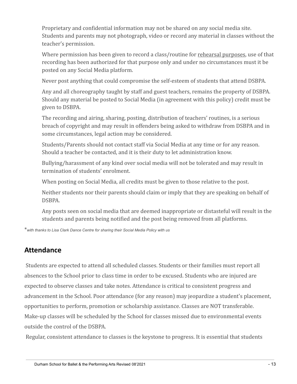Proprietary and confidential information may not be shared on any social media site. Students and parents may not photograph, video or record any material in classes without the teacher's permission.

Where permission has been given to record a class/routine for rehearsal purposes, use of that recording has been authorized for that purpose only and under no circumstances must it be posted on any Social Media platform.

Never post anything that could compromise the self-esteem of students that attend DSBPA.

Any and all choreography taught by staff and guest teachers, remains the property of DSBPA. Should any material be posted to Social Media (in agreement with this policy) credit must be given to DSBPA.

The recording and airing, sharing, posting, distribution of teachers' routines, is a serious breach of copyright and may result in offenders being asked to withdraw from DSBPA and in some circumstances, legal action may be considered.

Students/Parents should not contact staff via Social Media at any time or for any reason. Should a teacher be contacted, and it is their duty to let administration know.

Bullying/harassment of any kind over social media will not be tolerated and may result in termination of students' enrolment.

When posting on Social Media, all credits must be given to those relative to the post.

Neither students nor their parents should claim or imply that they are speaking on behalf of DSBPA.

Any posts seen on social media that are deemed inappropriate or distasteful will result in the students and parents being notified and the post being removed from all platforms.

\**with thanks to Lisa Clark Dance Centre for sharing their Social Media Policy with us*

# <span id="page-13-0"></span>**Attendance**

Students are expected to attend all scheduled classes. Students or their families must report all absences to the School prior to class time in order to be excused. Students who are injured are expected to observe classes and take notes. Attendance is critical to consistent progress and advancement in the School. Poor attendance (for any reason) may jeopardize a student's placement, opportunities to perform, promotion or scholarship assistance. Classes are NOT transferable. Make-up classes will be scheduled by the School for classes missed due to environmental events outside the control of the DSBPA.

Regular, consistent attendance to classes is the keystone to progress. It is essential that students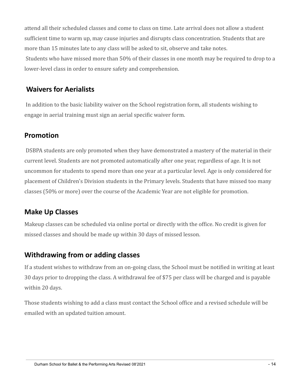attend all their scheduled classes and come to class on time. Late arrival does not allow a student sufficient time to warm up, may cause injuries and disrupts class concentration. Students that are more than 15 minutes late to any class will be asked to sit, observe and take notes. Students who have missed more than 50% of their classes in one month may be required to drop to a lower-level class in order to ensure safety and comprehension.

# <span id="page-14-0"></span>**Waivers for Aerialists**

In addition to the basic liability waiver on the School registration form, all students wishing to engage in aerial training must sign an aerial specific waiver form.

# <span id="page-14-1"></span>**Promotion**

DSBPA students are only promoted when they have demonstrated a mastery of the material in their current level. Students are not promoted automatically after one year, regardless of age. It is not uncommon for students to spend more than one year at a particular level. Age is only considered for placement of Children's Division students in the Primary levels. Students that have missed too many classes (50% or more) over the course of the Academic Year are not eligible for promotion.

# <span id="page-14-2"></span>**Make Up Classes**

Makeup classes can be scheduled via online portal or directly with the office. No credit is given for missed classes and should be made up within 30 days of missed lesson.

# <span id="page-14-3"></span>**Withdrawing from or adding classes**

If a student wishes to withdraw from an on-going class, the School must be notified in writing at least 30 days prior to dropping the class. A withdrawal fee of \$75 per class will be charged and is payable within 20 days.

Those students wishing to add a class must contact the School office and a revised schedule will be emailed with an updated tuition amount.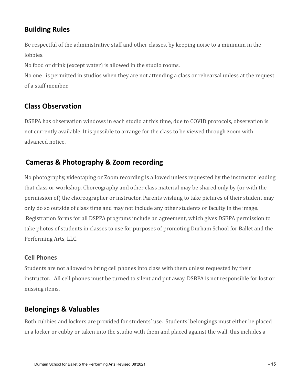# <span id="page-15-0"></span>**Building Rules**

Be respectful of the administrative staff and other classes, by keeping noise to a minimum in the lobbies.

No food or drink (except water) is allowed in the studio rooms.

No one is permitted in studios when they are not attending a class or rehearsal unless at the request of a staff member.

# <span id="page-15-1"></span>**Class Observation**

DSBPA has observation windows in each studio at this time, due to COVID protocols, observation is not currently available. It is possible to arrange for the class to be viewed through zoom with advanced notice.

# <span id="page-15-2"></span>**Cameras & Photography & Zoom recording**

No photography, videotaping or Zoom recording is allowed unless requested by the instructor leading that class or workshop. Choreography and other class material may be shared only by (or with the permission of) the choreographer or instructor. Parents wishing to take pictures of their student may only do so outside of class time and may not include any other students or faculty in the image. Registration forms for all DSPPA programs include an agreement, which gives DSBPA permission to take photos of students in classes to use for purposes of promoting Durham School for Ballet and the Performing Arts, LLC.

## <span id="page-15-3"></span>**Cell Phones**

Students are not allowed to bring cell phones into class with them unless requested by their instructor. All cell phones must be turned to silent and put away. DSBPA is not responsible for lost or missing items.

# <span id="page-15-4"></span>**Belongings & Valuables**

Both cubbies and lockers are provided for students' use. Students' belongings must either be placed in a locker or cubby or taken into the studio with them and placed against the wall, this includes a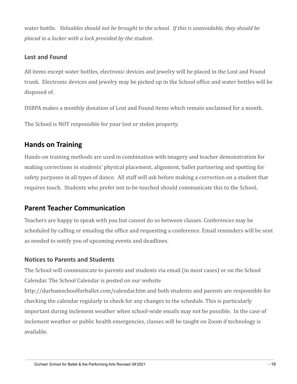water bottle. *Valuables should not be brought to the school. If this is unavoidable, they should be placed in a locker with a lock provided by the student*.

#### <span id="page-16-0"></span>**Lost and Found**

All items except water bottles, electronic devices and jewelry will be placed in the Lost and Found trunk. Electronic devices and jewelry may be picked up in the School office and water bottles will be disposed of.

DSBPA makes a monthly donation of Lost and Found items which remain unclaimed for a month.

The School is NOT responsible for your lost or stolen property.

# <span id="page-16-1"></span>**Hands on Training**

Hands-on training methods are used in combination with imagery and teacher demonstration for making corrections in students' physical placement, alignment, ballet partnering and spotting for safety purposes in all types of dance. All staff will ask before making a correction on a student that requires touch. Students who prefer not to be touched should communicate this to the School**.**

# <span id="page-16-2"></span>**Parent Teacher Communication**

Teachers are happy to speak with you but cannot do so between classes. Conferences may be scheduled by calling or emailing the office and requesting a conference. Email reminders will be sent as needed to notify you of upcoming events and deadlines.

## <span id="page-16-3"></span>**Notices to Parents and Students**

The School will communicate to parents and students via email (in most cases) or on the School Calendar. The School Calendar is posted on our website

http://durhamschoolforballet.com/calendar.htm and both students and parents are responsible for checking the calendar regularly to check for any changes to the schedule. This is particularly important during inclement weather when school-wide emails may not be possible. In the case of inclement weather or public health emergencies, classes will be taught on Zoom if technology is available.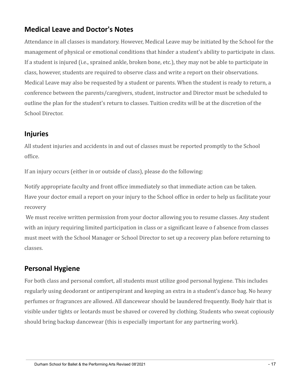# <span id="page-17-0"></span>**Medical Leave and Doctor's Notes**

Attendance in all classes is mandatory. However, Medical Leave may be initiated by the School for the management of physical or emotional conditions that hinder a student's ability to participate in class. If a student is injured (i.e., sprained ankle, broken bone, etc.), they may not be able to participate in class, however, students are required to observe class and write a report on their observations. Medical Leave may also be requested by a student or parents. When the student is ready to return, a conference between the parents/caregivers, student, instructor and Director must be scheduled to outline the plan for the student's return to classes. Tuition credits will be at the discretion of the School Director.

# <span id="page-17-1"></span>**Injuries**

All student injuries and accidents in and out of classes must be reported promptly to the School office.

If an injury occurs (either in or outside of class), please do the following:

Notify appropriate faculty and front office immediately so that immediate action can be taken. Have your doctor email a report on your injury to the School office in order to help us facilitate your recovery

We must receive written permission from your doctor allowing you to resume classes. Any student with an injury requiring limited participation in class or a significant leave o f absence from classes must meet with the School Manager or School Director to set up a recovery plan before returning to classes.

# <span id="page-17-2"></span>**Personal Hygiene**

For both class and personal comfort, all students must utilize good personal hygiene. This includes regularly using deodorant or antiperspirant and keeping an extra in a student's dance bag. No heavy perfumes or fragrances are allowed. All dancewear should be laundered frequently. Body hair that is visible under tights or leotards must be shaved or covered by clothing. Students who sweat copiously should bring backup dancewear (this is especially important for any partnering work).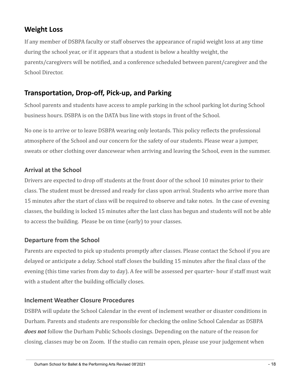# <span id="page-18-0"></span>**Weight Loss**

If any member of DSBPA faculty or staff observes the appearance of rapid weight loss at any time during the school year, or if it appears that a student is below a healthy weight, the parents/caregivers will be notified, and a conference scheduled between parent/caregiver and the School Director.

# <span id="page-18-1"></span>**Transportation, Drop-off, Pick-up, and Parking**

School parents and students have access to ample parking in the school parking lot during School business hours. DSBPA is on the DATA bus line with stops in front of the School.

No one is to arrive or to leave DSBPA wearing only leotards. This policy reflects the professional atmosphere of the School and our concern for the safety of our students. Please wear a jumper, sweats or other clothing over dancewear when arriving and leaving the School, even in the summer.

# <span id="page-18-2"></span>**Arrival at the School**

Drivers are expected to drop off students at the front door of the school 10 minutes prior to their class. The student must be dressed and ready for class upon arrival. Students who arrive more than 15 minutes after the start of class will be required to observe and take notes. In the case of evening classes, the building is locked 15 minutes after the last class has begun and students will not be able to access the building. Please be on time (early) to your classes.

## <span id="page-18-3"></span>**Departure from the School**

Parents are expected to pick up students promptly after classes. Please contact the School if you are delayed or anticipate a delay. School staff closes the building 15 minutes after the final class of the evening (this time varies from day to day). A fee will be assessed per quarter- hour if staff must wait with a student after the building officially closes.

#### <span id="page-18-4"></span>**Inclement Weather Closure Procedures**

DSBPA will update the School Calendar in the event of inclement weather or disaster conditions in Durham. Parents and students are responsible for checking the online School Calendar as DSBPA *does not* follow the Durham Public Schools closings. Depending on the nature of the reason for closing, classes may be on Zoom. If the studio can remain open, please use your judgement when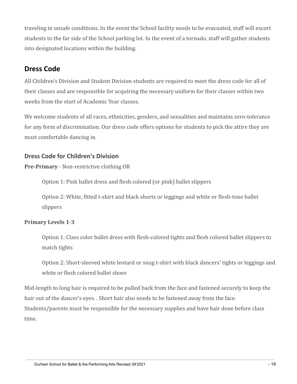traveling in unsafe conditions. In the event the School facility needs to be evacuated, staff will escort students to the far side of the School parking lot. In the event of a tornado, staff will gather students into designated locations within the building.

# <span id="page-19-0"></span>**Dress Code**

All Children's Division and Student Division students are required to meet the dress code for all of their classes and are responsible for acquiring the necessary uniform for their classes within two weeks from the start of Academic Year classes.

We welcome students of all races, ethnicities, genders, and sexualities and maintains zero-tolerance for any form of discrimination. Our dress code offers options for students to pick the attire they are most comfortable dancing in.

# <span id="page-19-1"></span>**Dress Code for Children's Division**

**Pre-Primary** - Non-restrictive clothing OR

Option 1: Pink ballet dress and flesh colored (or pink) ballet slippers

Option 2: White, fitted t-shirt and black shorts or leggings and white or flesh-tone ballet slippers

## **Primary Levels 1-3**

Option 1: Class color ballet dress with flesh-colored tights and flesh colored ballet slippers to match tights

Option 2: Short-sleeved white leotard or snug t-shirt with black dancers' tights or leggings and white or flesh colored ballet shoes

Mid-length to long hair is required to be pulled back from the face and fastened securely to keep the hair out of the dancer's eyes. . Short hair also needs to be fastened away from the face. Students/parents must be responsible for the necessary supplies and have hair done before class time.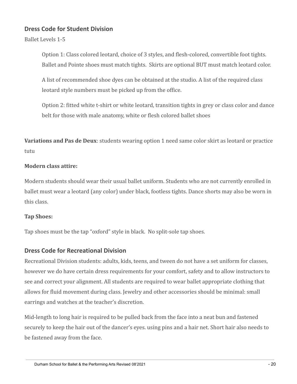#### <span id="page-20-0"></span>**Dress Code for Student Division**

Ballet Levels 1-5

Option 1: Class colored leotard, choice of 3 styles, and flesh-colored, convertible foot tights. Ballet and Pointe shoes must match tights. Skirts are optional BUT must match leotard color.

A list of recommended shoe dyes can be obtained at the studio. A list of the required class leotard style numbers must be picked up from the office.

Option 2: fitted white t-shirt or white leotard, transition tights in grey or class color and dance belt for those with male anatomy, white or flesh colored ballet shoes

**Variations and Pas de Deux**: students wearing option 1 need same color skirt as leotard or practice tutu

#### **Modern class attire:**

Modern students should wear their usual ballet uniform. Students who are not currently enrolled in ballet must wear a leotard (any color) under black, footless tights. Dance shorts may also be worn in this class.

#### **Tap Shoes:**

Tap shoes must be the tap "oxford" style in black. No split-sole tap shoes.

## <span id="page-20-1"></span>**Dress Code for Recreational Division**

Recreational Division students: adults, kids, teens, and tween do not have a set uniform for classes, however we do have certain dress requirements for your comfort, safety and to allow instructors to see and correct your alignment. All students are required to wear ballet appropriate clothing that allows for fluid movement during class. Jewelry and other accessories should be minimal: small earrings and watches at the teacher's discretion.

Mid-length to long hair is required to be pulled back from the face into a neat bun and fastened securely to keep the hair out of the dancer's eyes. using pins and a hair net. Short hair also needs to be fastened away from the face.